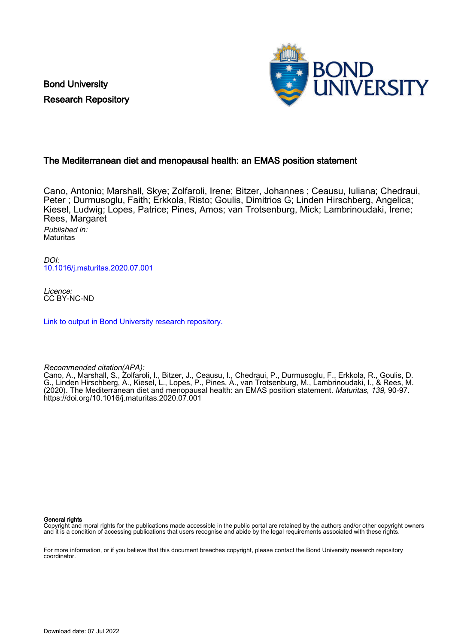Bond University Research Repository



# The Mediterranean diet and menopausal health: an EMAS position statement

Cano, Antonio; Marshall, Skye; Zolfaroli, Irene; Bitzer, Johannes ; Ceausu, Iuliana; Chedraui, Peter ; Durmusoglu, Faith; Erkkola, Risto; Goulis, Dimitrios G; Linden Hirschberg, Angelica; Kiesel, Ludwig; Lopes, Patrice; Pines, Amos; van Trotsenburg, Mick; Lambrinoudaki, Irene; Rees, Margaret Published in:

**Maturitas** 

DOI: [10.1016/j.maturitas.2020.07.001](https://doi.org/10.1016/j.maturitas.2020.07.001)

Licence: CC BY-NC-ND

[Link to output in Bond University research repository.](https://research.bond.edu.au/en/publications/312e67be-dfcd-4ed9-a19e-9af684cecbee)

Recommended citation(APA):

Cano, A., Marshall, S., Zolfaroli, I., Bitzer, J., Ceausu, I., Chedraui, P., Durmusoglu, F., Erkkola, R., Goulis, D. G., Linden Hirschberg, A., Kiesel, L., Lopes, P., Pines, A., van Trotsenburg, M., Lambrinoudaki, I., & Rees, M. (2020). The Mediterranean diet and menopausal health: an EMAS position statement. Maturitas, 139, 90-97. <https://doi.org/10.1016/j.maturitas.2020.07.001>

General rights

Copyright and moral rights for the publications made accessible in the public portal are retained by the authors and/or other copyright owners and it is a condition of accessing publications that users recognise and abide by the legal requirements associated with these rights.

For more information, or if you believe that this document breaches copyright, please contact the Bond University research repository coordinator.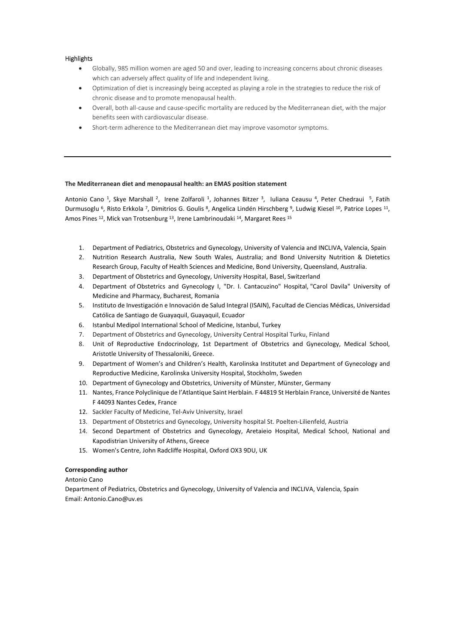## **Highlights**

- Globally, 985 million women are aged 50 and over, leading to increasing concerns about chronic diseases which can adversely affect quality of life and independent living.
- Optimization of diet is increasingly being accepted as playing a role in the strategies to reduce the risk of chronic disease and to promote menopausal health.
- Overall, both all-cause and cause-specific mortality are reduced by the Mediterranean diet, with the major benefits seen with cardiovascular disease.
- Short-term adherence to the Mediterranean diet may improve vasomotor symptoms.

## **The Mediterranean diet and menopausal health: an EMAS position statement**

Antonio Cano <sup>1</sup>, Skye Marshall <sup>2</sup>, Irene Zolfaroli <sup>1</sup>, Johannes Bitzer <sup>3</sup>, Iuliana Ceausu <sup>4</sup>, Peter Chedraui <sup>5</sup>, Fatih Durmusoglu <sup>6</sup>, Risto Erkkola <sup>7</sup>, Dimitrios G. Goulis <sup>8</sup>, Angelica Lindén Hirschberg <sup>9</sup>, Ludwig Kiesel <sup>10</sup>, Patrice Lopes <sup>11</sup>, Amos Pines <sup>12</sup>, Mick van Trotsenburg <sup>13</sup>, Irene Lambrinoudaki <sup>14</sup>, Margaret Rees <sup>15</sup>

- 1. Department of Pediatrics, Obstetrics and Gynecology, University of Valencia and INCLIVA, Valencia, Spain
- 2. Nutrition Research Australia, New South Wales, Australia; and Bond University Nutrition & Dietetics Research Group, Faculty of Health Sciences and Medicine, Bond University, Queensland, Australia.
- 3. Department of Obstetrics and Gynecology, University Hospital, Basel, Switzerland
- 4. Department of Obstetrics and Gynecology I, "Dr. I. Cantacuzino" Hospital, "Carol Davila" University of Medicine and Pharmacy, Bucharest, Romania
- 5. Instituto de Investigación e Innovación de Salud Integral (ISAIN), Facultad de Ciencias Médicas, Universidad Católica de Santiago de Guayaquil, Guayaquil, Ecuador
- 6. Istanbul Medipol International School of Medicine, Istanbul, Turkey
- 7. Department of Obstetrics and Gynecology, University Central Hospital Turku, Finland
- 8. Unit of Reproductive Endocrinology, 1st Department of Obstetrics and Gynecology, Medical School, Aristotle University of Thessaloniki, Greece.
- 9. Department of Women's and Children's Health, Karolinska Institutet and Department of Gynecology and Reproductive Medicine, Karolinska University Hospital, Stockholm, Sweden
- 10. Department of Gynecology and Obstetrics, University of Münster, Münster, Germany
- 11. Nantes, France Polyclinique de l'Atlantique Saint Herblain. F 44819 St Herblain France, Université de Nantes F 44093 Nantes Cedex, France
- 12. Sackler Faculty of Medicine, Tel-Aviv University, Israel
- 13. Department of Obstetrics and Gynecology, University hospital St. Poelten-Lilienfeld, Austria
- 14. Second Department of Obstetrics and Gynecology, Aretaieio Hospital, Medical School, National and Kapodistrian University of Athens, Greece
- 15. Women's Centre, John Radcliffe Hospital, Oxford OX3 9DU, UK

## **Corresponding author**

Antonio Cano

Department of Pediatrics, Obstetrics and Gynecology, University of Valencia and INCLIVA, Valencia, Spain Email: Antonio.Cano@uv.es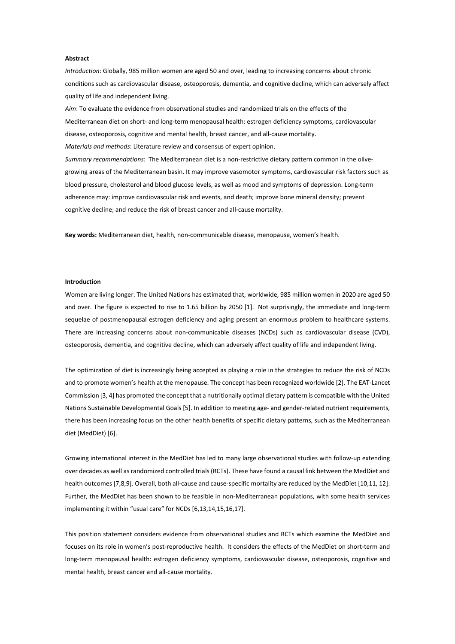## **Abstract**

*Introduction*: Globally, 985 million women are aged 50 and over, leading to increasing concerns about chronic conditions such as cardiovascular disease, osteoporosis, dementia, and cognitive decline, which can adversely affect quality of life and independent living.

*Aim*: To evaluate the evidence from observational studies and randomized trials on the effects of the Mediterranean diet on short- and long-term menopausal health: estrogen deficiency symptoms, cardiovascular disease, osteoporosis, cognitive and mental health, breast cancer, and all-cause mortality. *Materials and methods*: Literature review and consensus of expert opinion.

*Summary recommendations*: The Mediterranean diet is a non-restrictive dietary pattern common in the olivegrowing areas of the Mediterranean basin. It may improve vasomotor symptoms, cardiovascular risk factors such as blood pressure, cholesterol and blood glucose levels, as well as mood and symptoms of depression. Long-term adherence may: improve cardiovascular risk and events, and death; improve bone mineral density; prevent cognitive decline; and reduce the risk of breast cancer and all-cause mortality.

**Key words:** Mediterranean diet, health, non-communicable disease, menopause, women's health.

## **Introduction**

Women are living longer. The United Nations has estimated that, worldwide, 985 million women in 2020 are aged 50 and over. The figure is expected to rise to 1.65 billion by 2050 [1]. Not surprisingly, the immediate and long-term sequelae of postmenopausal estrogen deficiency and aging present an enormous problem to healthcare systems. There are increasing concerns about non-communicable diseases (NCDs) such as cardiovascular disease (CVD), osteoporosis, dementia, and cognitive decline, which can adversely affect quality of life and independent living.

The optimization of diet is increasingly being accepted as playing a role in the strategies to reduce the risk of NCDs and to promote women's health at the menopause. The concept has been recognized worldwide [2]. The EAT-Lancet Commission [3, 4] has promoted the concept that a nutritionally optimal dietary pattern is compatible with the United Nations Sustainable Developmental Goals [5]. In addition to meeting age- and gender-related nutrient requirements, there has been increasing focus on the other health benefits of specific dietary patterns, such as the Mediterranean diet (MedDiet) [6].

Growing international interest in the MedDiet has led to many large observational studies with follow-up extending over decades as well as randomized controlled trials(RCTs). These have found a causal link between the MedDiet and health outcomes [7,8,9]. Overall, both all-cause and cause-specific mortality are reduced by the MedDiet [10,11, 12]. Further, the MedDiet has been shown to be feasible in non-Mediterranean populations, with some health services implementing it within "usual care" for NCDs [6,13,14,15,16,17].

This position statement considers evidence from observational studies and RCTs which examine the MedDiet and focuses on its role in women's post-reproductive health. It considers the effects of the MedDiet on short-term and long-term menopausal health: estrogen deficiency symptoms, cardiovascular disease, osteoporosis, cognitive and mental health, breast cancer and all-cause mortality.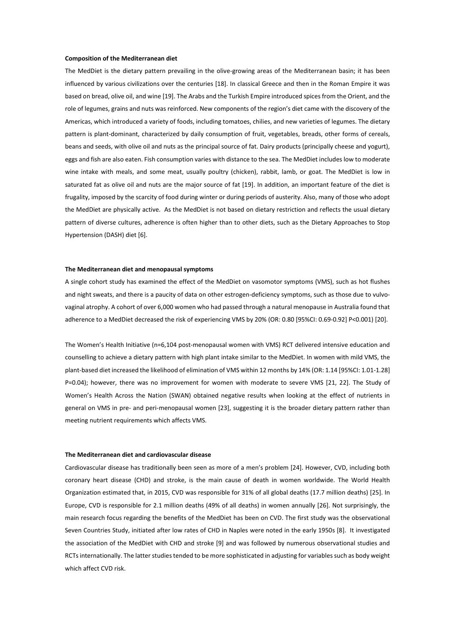#### **Composition of the Mediterranean diet**

The MedDiet is the dietary pattern prevailing in the olive-growing areas of the Mediterranean basin; it has been influenced by various civilizations over the centuries [18]. In classical Greece and then in the Roman Empire it was based on bread, olive oil, and wine [19]. The Arabs and the Turkish Empire introduced spices from the Orient, and the role of legumes, grains and nuts was reinforced. New components of the region's diet came with the discovery of the Americas, which introduced a variety of foods, including tomatoes, chilies, and new varieties of legumes. The dietary pattern is plant-dominant, characterized by daily consumption of fruit, vegetables, breads, other forms of cereals, beans and seeds, with olive oil and nuts as the principal source of fat. Dairy products (principally cheese and yogurt), eggs and fish are also eaten. Fish consumption varies with distance to the sea. The MedDiet includes low to moderate wine intake with meals, and some meat, usually poultry (chicken), rabbit, lamb, or goat. The MedDiet is low in saturated fat as olive oil and nuts are the major source of fat [19]. In addition, an important feature of the diet is frugality, imposed by the scarcity of food during winter or during periods of austerity. Also, many of those who adopt the MedDiet are physically active. As the MedDiet is not based on dietary restriction and reflects the usual dietary pattern of diverse cultures, adherence is often higher than to other diets, such as the Dietary Approaches to Stop Hypertension (DASH) diet [6].

#### **The Mediterranean diet and menopausal symptoms**

A single cohort study has examined the effect of the MedDiet on vasomotor symptoms (VMS), such as hot flushes and night sweats, and there is a paucity of data on other estrogen-deficiency symptoms, such as those due to vulvovaginal atrophy. A cohort of over 6,000 women who had passed through a natural menopause in Australia found that adherence to a MedDiet decreased the risk of experiencing VMS by 20% (OR: 0.80 [95%CI: 0.69-0.92] P<0.001) [20].

The Women's Health Initiative (n=6,104 post-menopausal women with VMS) RCT delivered intensive education and counselling to achieve a dietary pattern with high plant intake similar to the MedDiet. In women with mild VMS, the plant-based diet increased the likelihood of elimination of VMS within 12 months by 14% (OR: 1.14 [95%CI: 1.01-1.28] P=0.04); however, there was no improvement for women with moderate to severe VMS [21, 22]. The Study of Women's Health Across the Nation (SWAN) obtained negative results when looking at the effect of nutrients in general on VMS in pre- and peri-menopausal women [23], suggesting it is the broader dietary pattern rather than meeting nutrient requirements which affects VMS.

### **The Mediterranean diet and cardiovascular disease**

Cardiovascular disease has traditionally been seen as more of a men's problem [24]. However, CVD, including both coronary heart disease (CHD) and stroke, is the main cause of death in women worldwide. The World Health Organization estimated that, in 2015, CVD was responsible for 31% of all global deaths (17.7 million deaths) [25]. In Europe, CVD is responsible for 2.1 million deaths (49% of all deaths) in women annually [26]. Not surprisingly, the main research focus regarding the benefits of the MedDiet has been on CVD. The first study was the observational Seven Countries Study, initiated after low rates of CHD in Naples were noted in the early 1950s [8]. It investigated the association of the MedDiet with CHD and stroke [9] and was followed by numerous observational studies and RCTsinternationally. The latter studies tended to be more sophisticated in adjusting for variables such as body weight which affect CVD risk.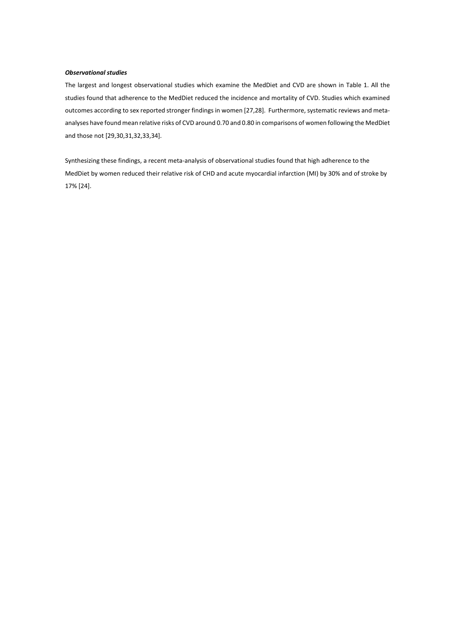## *Observational studies*

The largest and longest observational studies which examine the MedDiet and CVD are shown in Table 1. All the studies found that adherence to the MedDiet reduced the incidence and mortality of CVD. Studies which examined outcomes according to sex reported stronger findings in women [27,28]. Furthermore, systematic reviews and metaanalyses have found mean relative risks of CVD around 0.70 and 0.80 in comparisons of women following the MedDiet and those not [29,30,31,32,33,34].

Synthesizing these findings, a recent meta-analysis of observational studies found that high adherence to the MedDiet by women reduced their relative risk of CHD and acute myocardial infarction (MI) by 30% and of stroke by 17% [24].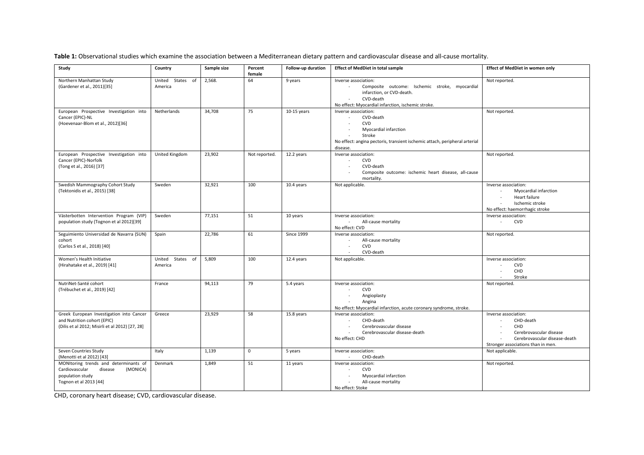**Table 1:** Observational studies which examine the association between a Mediterranean dietary pattern and cardiovascular disease and all-cause mortality.

| Study                                                                                                                        | Country                     | Sample size | Percent<br>female | Follow-up duration | <b>Effect of MedDiet in total sample</b>                                                                                                                                                                                     | <b>Effect of MedDiet in women only</b>                                                                                                     |
|------------------------------------------------------------------------------------------------------------------------------|-----------------------------|-------------|-------------------|--------------------|------------------------------------------------------------------------------------------------------------------------------------------------------------------------------------------------------------------------------|--------------------------------------------------------------------------------------------------------------------------------------------|
| Northern Manhattan Study<br>(Gardener et al., 2011)[35]                                                                      | United States of<br>America | 2,568.      | 64                | 9 years            | Inverse association:<br>Composite outcome: Ischemic stroke, myocardial<br>$\sim$<br>infarction, or CVD-death.<br>CVD-death<br>No effect: Myocardial infarction, ischemic stroke.                                             | Not reported.                                                                                                                              |
| European Prospective Investigation into<br>Cancer (EPIC)-NL<br>(Hoevenaar-Blom et al., 2012)[36]                             | Netherlands                 | 34,708      | 75                | $10-15$ years      | Inverse association:<br>CVD-death<br>$\sim$<br><b>CVD</b><br>$\sim$<br>Myocardial infarction<br>$\blacksquare$<br>Stroke<br>$\sim$<br>No effect: angina pectoris, transient ischemic attach, peripheral arterial<br>disease. | Not reported.                                                                                                                              |
| European Prospective Investigation into<br>Cancer (EPIC)-Norfolk<br>(Tong et al., 2016) [37]                                 | United Kingdom              | 23,902      | Not reported.     | 12.2 years         | Inverse association:<br><b>CVD</b><br>$\sim$<br>CVD-death<br>$\sim$<br>Composite outcome: ischemic heart disease, all-cause<br>mortality.                                                                                    | Not reported.                                                                                                                              |
| Swedish Mammography Cohort Study<br>(Tektonidis et al., 2015) [38]                                                           | Sweden                      | 32,921      | 100               | 10.4 years         | Not applicable.                                                                                                                                                                                                              | Inverse association:<br>Myocardial infarction<br>Heart failure<br>$\sim$<br>Ischemic stroke<br>No effect: haemorrhagic stroke              |
| Västerbotten Intervention Program (VIP)<br>population study (Tognon et al 2012)[39]                                          | Sweden                      | 77,151      | 51                | 10 years           | Inverse association:<br>All-cause mortality<br>No effect: CVD                                                                                                                                                                | Inverse association:<br><b>CVD</b><br>$\sim$                                                                                               |
| Seguimiento Universidad de Navarra (SUN)<br>cohort<br>(Carlos S et al., 2018) [40]                                           | Spain                       | 22,786      | 61                | <b>Since 1999</b>  | Inverse association:<br>All-cause mortality<br><b>CVD</b><br>$\sim$<br>CVD-death                                                                                                                                             | Not reported.                                                                                                                              |
| Women's Health Initiative<br>(Hirahatake et al., 2019) [41]                                                                  | United States of<br>America | 5,809       | 100               | 12.4 years         | Not applicable.                                                                                                                                                                                                              | Inverse association:<br><b>CVD</b><br>CHD<br>Stroke<br>$\sim$                                                                              |
| NutriNet-Santé cohort<br>(Trébuchet et al., 2019) [42]                                                                       | France                      | 94,113      | 79                | 5.4 years          | Inverse association:<br><b>CVD</b><br>$\sim$<br>Angioplasty<br>Angina<br>$\sim$<br>No effect: Myocardial infarction, acute coronary syndrome, stroke.                                                                        | Not reported.                                                                                                                              |
| Greek European Investigation into Cancer<br>and Nutrition cohort (EPIC)<br>(Dilis et al 2012; Misirli et al 2012) [27, 28]   | Greece                      | 23,929      | 58                | 15.8 years         | Inverse association:<br>CHD-death<br>Cerebrovascular disease<br>Cerebrovascular disease-death<br>No effect: CHD                                                                                                              | Inverse association:<br>CHD-death<br>CHD<br>Cerebrovascular disease<br>Cerebrovascular disease-death<br>Stronger associations than in men. |
| Seven Countries Study<br>(Menotti et al 2012) [43]                                                                           | Italy                       | 1,139       | $\mathbf 0$       | 5 years            | Inverse association:<br>CHD-death                                                                                                                                                                                            | Not applicable.                                                                                                                            |
| MONItoring trends and determinants of<br>Cardiovascular<br>disease<br>(MONICA)<br>population study<br>Tognon et al 2013 [44] | Denmark                     | 1.849       | 51                | 11 years           | Inverse association:<br><b>CVD</b><br>$\sim$<br>Myocardial infarction<br>$\sim$<br>All-cause mortality<br>$\sim$<br>No effect: Stoke                                                                                         | Not reported.                                                                                                                              |

CHD, coronary heart disease; CVD, cardiovascular disease.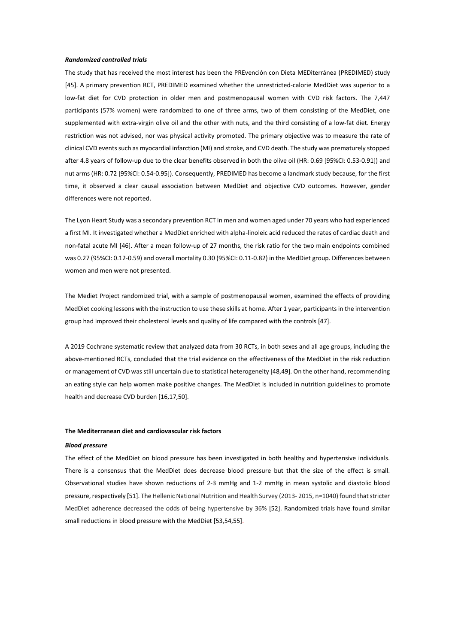#### *Randomized controlled trials*

The study that has received the most interest has been the PREvención con Dieta MEDiterránea (PREDIMED) study [45]. A primary prevention RCT, PREDIMED examined whether the unrestricted-calorie MedDiet was superior to a low-fat diet for CVD protection in older men and postmenopausal women with CVD risk factors. The 7,447 participants (57% women) were randomized to one of three arms, two of them consisting of the MedDiet, one supplemented with extra-virgin olive oil and the other with nuts, and the third consisting of a low-fat diet. Energy restriction was not advised, nor was physical activity promoted. The primary objective was to measure the rate of clinical CVD eventssuch as myocardial infarction (MI) and stroke, and CVD death. The study was prematurely stopped after 4.8 years of follow-up due to the clear benefits observed in both the olive oil (HR: 0.69 [95%CI: 0.53-0.91]) and nut arms (HR: 0.72 [95%CI: 0.54-0.95]). Consequently, PREDIMED has become a landmark study because, for the first time, it observed a clear causal association between MedDiet and objective CVD outcomes. However, gender differences were not reported.

The Lyon Heart Study was a secondary prevention RCT in men and women aged under 70 years who had experienced a first MI. It investigated whether a MedDiet enriched with alpha-linoleic acid reduced the rates of cardiac death and non-fatal acute MI [46]. After a mean follow-up of 27 months, the risk ratio for the two main endpoints combined was 0.27 (95%CI: 0.12-0.59) and overall mortality 0.30 (95%CI: 0.11-0.82) in the MedDiet group. Differences between women and men were not presented.

The Mediet Project randomized trial, with a sample of postmenopausal women, examined the effects of providing MedDiet cooking lessons with the instruction to use these skills at home. After 1 year, participants in the intervention group had improved their cholesterol levels and quality of life compared with the controls [47].

A 2019 Cochrane systematic review that analyzed data from 30 RCTs, in both sexes and all age groups, including the above-mentioned RCTs, concluded that the trial evidence on the effectiveness of the MedDiet in the risk reduction or management of CVD was still uncertain due to statistical heterogeneity [48,49]. On the other hand, recommending an eating style can help women make positive changes. The MedDiet is included in nutrition guidelines to promote health and decrease CVD burden [16,17,50].

## **The Mediterranean diet and cardiovascular risk factors**

#### *Blood pressure*

The effect of the MedDiet on blood pressure has been investigated in both healthy and hypertensive individuals. There is a consensus that the MedDiet does decrease blood pressure but that the size of the effect is small. Observational studies have shown reductions of 2-3 mmHg and 1-2 mmHg in mean systolic and diastolic blood pressure, respectively [51]. The Hellenic National Nutrition and Health Survey (2013- 2015, n=1040) found that stricter MedDiet adherence decreased the odds of being hypertensive by 36% [52]. Randomized trials have found similar small reductions in blood pressure with the MedDiet [53,54,55].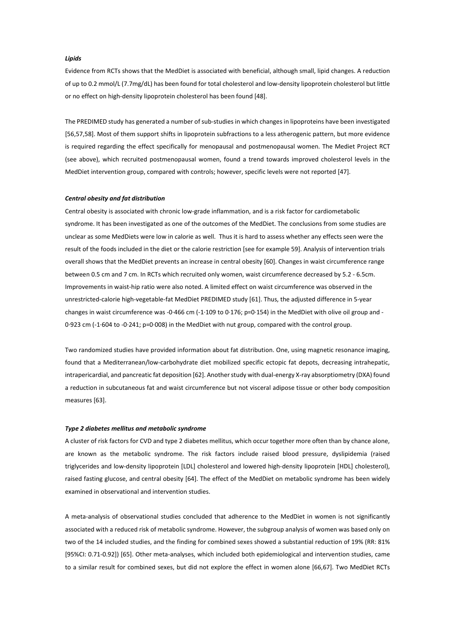## *Lipids*

Evidence from RCTs shows that the MedDiet is associated with beneficial, although small, lipid changes. A reduction of up to 0.2 mmol/L (7.7mg/dL) has been found for total cholesterol and low-density lipoprotein cholesterol but little or no effect on high-density lipoprotein cholesterol has been found [48].

The PREDIMED study has generated a number of sub-studies in which changes in lipoproteins have been investigated [56,57,58]. Most of them support shifts in lipoprotein subfractions to a less atherogenic pattern, but more evidence is required regarding the effect specifically for menopausal and postmenopausal women. The Mediet Project RCT (see above), which recruited postmenopausal women, found a trend towards improved cholesterol levels in the MedDiet intervention group, compared with controls; however, specific levels were not reported [47].

#### *Central obesity and fat distribution*

Central obesity is associated with chronic low-grade inflammation, and is a risk factor for cardiometabolic syndrome. It has been investigated as one of the outcomes of the MedDiet. The conclusions from some studies are unclear as some MedDiets were low in calorie as well. Thus it is hard to assess whether any effects seen were the result of the foods included in the diet or the calorie restriction [see for example 59]. Analysis of intervention trials overall shows that the MedDiet prevents an increase in central obesity [60]. Changes in waist circumference range between 0.5 cm and 7 cm. In RCTs which recruited only women, waist circumference decreased by 5.2 - 6.5cm. Improvements in waist-hip ratio were also noted. A limited effect on waist circumference was observed in the unrestricted-calorie high-vegetable-fat MedDiet PREDIMED study [61]. Thus, the adjusted difference in 5-year changes in waist circumference was -0·466 cm (-1·109 to 0·176; p=0·154) in the MedDiet with olive oil group and - 0·923 cm (-1·604 to -0·241; p=0·008) in the MedDiet with nut group, compared with the control group.

Two randomized studies have provided information about fat distribution. One, using magnetic resonance imaging, found that a Mediterranean/low-carbohydrate diet mobilized specific ectopic fat depots, decreasing intrahepatic, intrapericardial, and pancreatic fat deposition [62]. Another study with dual-energy X-ray absorptiometry (DXA) found a reduction in subcutaneous fat and waist circumference but not visceral adipose tissue or other body composition measures [63].

#### *Type 2 diabetes mellitus and metabolic syndrome*

A cluster of risk factors for CVD and type 2 diabetes mellitus, which occur together more often than by chance alone, are known as the metabolic syndrome. The risk factors include raised blood pressure, dyslipidemia (raised triglycerides and low-density lipoprotein [LDL] cholesterol and lowered high-density lipoprotein [HDL] cholesterol), raised fasting glucose, and central obesity [64]. The effect of the MedDiet on metabolic syndrome has been widely examined in observational and intervention studies.

A meta-analysis of observational studies concluded that adherence to the MedDiet in women is not significantly associated with a reduced risk of metabolic syndrome. However, the subgroup analysis of women was based only on two of the 14 included studies, and the finding for combined sexes showed a substantial reduction of 19% (RR: 81% [95%CI: 0.71-0.92]) [65]. Other meta-analyses, which included both epidemiological and intervention studies, came to a similar result for combined sexes, but did not explore the effect in women alone [66,67]. Two MedDiet RCTs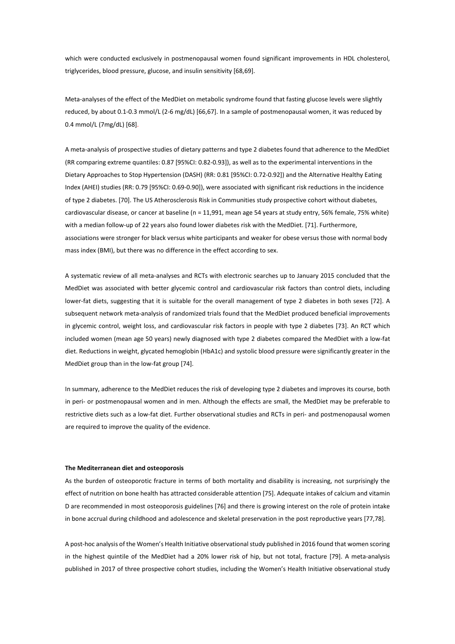which were conducted exclusively in postmenopausal women found significant improvements in HDL cholesterol, triglycerides, blood pressure, glucose, and insulin sensitivity [68,69].

Meta-analyses of the effect of the MedDiet on metabolic syndrome found that fasting glucose levels were slightly reduced, by about 0.1-0.3 mmol/L (2-6 mg/dL) [66,67]. In a sample of postmenopausal women, it was reduced by 0.4 mmol/L (7mg/dL) [68].

A meta-analysis of prospective studies of dietary patterns and type 2 diabetes found that adherence to the MedDiet (RR comparing extreme quantiles: 0.87 [95%CI: 0.82-0.93]), as well as to the experimental interventions in the Dietary Approaches to Stop Hypertension (DASH) (RR: 0.81 [95%CI: 0.72-0.92]) and the Alternative Healthy Eating Index (AHEI) studies (RR: 0.79 [95%CI: 0.69-0.90]), were associated with significant risk reductions in the incidence of type 2 diabetes. [70]. The US Atherosclerosis Risk in Communities study prospective cohort without diabetes, cardiovascular disease, or cancer at baseline (n = 11,991, mean age 54 years at study entry, 56% female, 75% white) with a median follow-up of 22 years also found lower diabetes risk with the MedDiet. [71]. Furthermore, associations were stronger for black versus white participants and weaker for obese versus those with normal body mass index (BMI), but there was no difference in the effect according to sex.

A systematic review of all meta-analyses and RCTs with electronic searches up to January 2015 concluded that the MedDiet was associated with better glycemic control and cardiovascular risk factors than control diets, including lower-fat diets, suggesting that it is suitable for the overall management of type 2 diabetes in both sexes [72]. A subsequent network meta-analysis of randomized trials found that the MedDiet produced beneficial improvements in glycemic control, weight loss, and cardiovascular risk factors in people with type 2 diabetes [73]. An RCT which included women (mean age 50 years) newly diagnosed with type 2 diabetes compared the MedDiet with a low-fat diet. Reductions in weight, glycated hemoglobin (HbA1c) and systolic blood pressure were significantly greater in the MedDiet group than in the low-fat group [74].

In summary, adherence to the MedDiet reduces the risk of developing type 2 diabetes and improves its course, both in peri- or postmenopausal women and in men. Although the effects are small, the MedDiet may be preferable to restrictive diets such as a low-fat diet. Further observational studies and RCTs in peri- and postmenopausal women are required to improve the quality of the evidence.

#### **The Mediterranean diet and osteoporosis**

As the burden of osteoporotic fracture in terms of both mortality and disability is increasing, not surprisingly the effect of nutrition on bone health has attracted considerable attention [75]. Adequate intakes of calcium and vitamin D are recommended in most osteoporosis guidelines [76] and there is growing interest on the role of protein intake in bone accrual during childhood and adolescence and skeletal preservation in the post reproductive years [77,78].

A post-hoc analysis of the Women's Health Initiative observational study published in 2016 found that women scoring in the highest quintile of the MedDiet had a 20% lower risk of hip, but not total, fracture [79]. A meta-analysis published in 2017 of three prospective cohort studies, including the Women's Health Initiative observational study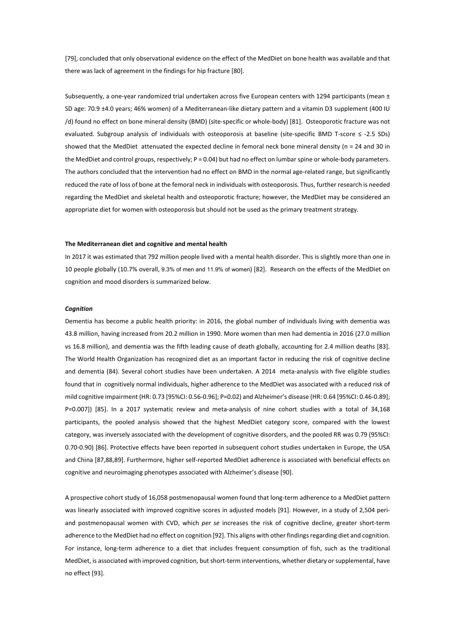[79], concluded that only observational evidence on the effect of the MedDiet on bone health was available and that there was lack of agreement in the findings for hip fracture [80].

Subsequently, a one-year randomized trial undertaken across five European centers with 1294 participants (mean  $\pm$ SD age: 70.9 ±4.0 years; 46% women) of a Mediterranean-like dietary pattern and a vitamin D3 supplement (400 IU /d) found no effect on bone mineral density (BMD) (site-specific or whole-body) [81]. Osteoporotic fracture was not evaluated. Subgroup analysis of individuals with osteoporosis at baseline (site-specific BMD T-score ≤ -2.5 SDs) showed that the MedDiet attenuated the expected decline in femoral neck bone mineral density (n = 24 and 30 in the MedDiet and control groups, respectively; P = 0.04) but had no effect on lumbar spine or whole-body parameters. The authors concluded that the intervention had no effect on BMD in the normal age-related range, but significantly reduced the rate of loss of bone at the femoral neck in individuals with osteoporosis. Thus, further research is needed regarding the MedDiet and skeletal health and osteoporotic fracture; however, the MedDiet may be considered an appropriate diet for women with osteoporosis but should not be used as the primary treatment strategy.

#### **The Mediterranean diet and cognitive and mental health**

In 2017 it was estimated that 792 million people lived with a mental health disorder. This is slightly more than one in 10 people globally (10.7% overall, 9.3% of men and 11.9% of women) [82]. Research on the effects of the MedDiet on cognition and mood disorders is summarized below.

#### *Cognition*

Dementia has become a public health priority: in 2016, the global number of individuals living with dementia was 43.8 million, having increased from 20.2 million in 1990. More women than men had dementia in 2016 (27.0 million vs 16.8 million), and dementia was the fifth leading cause of death globally, accounting for 2.4 million deaths [83]. The World Health Organization has recognized diet as an important factor in reducing the risk of cognitive decline and dementia (84). Several cohort studies have been undertaken. A 2014 meta-analysis with five eligible studies found that in cognitively normal individuals, higher adherence to the MedDiet was associated with a reduced risk of mild cognitive impairment (HR: 0.73 [95%CI: 0.56-0.96]; P=0.02) and Alzheimer's disease (HR: 0.64 [95%CI: 0.46-0.89]; P=0.007]) [85]. In a 2017 systematic review and meta-analysis of nine cohort studies with a total of 34,168 participants, the pooled analysis showed that the highest MedDiet category score, compared with the lowest category, was inversely associated with the development of cognitive disorders, and the pooled RR was 0.79 (95%CI: 0.70-0.90) [86]. Protective effects have been reported in subsequent cohort studies undertaken in Europe, the USA and China [87,88,89]. Furthermore, higher self-reported MedDiet adherence is associated with beneficial effects on cognitive and neuroimaging phenotypes associated with Alzheimer's disease [90].

A prospective cohort study of 16,058 postmenopausal women found that long-term adherence to a MedDiet pattern was linearly associated with improved cognitive scores in adjusted models [91]. However, in a study of 2,504 periand postmenopausal women with CVD, which *per se* increases the risk of cognitive decline, greater short-term adherence to the MedDiet had no effect on cognition [92]. This aligns with other findings regarding diet and cognition. For instance, long-term adherence to a diet that includes frequent consumption of fish, such as the traditional MedDiet, is associated with improved cognition, but short-term interventions, whether dietary or supplemental, have no effect [93].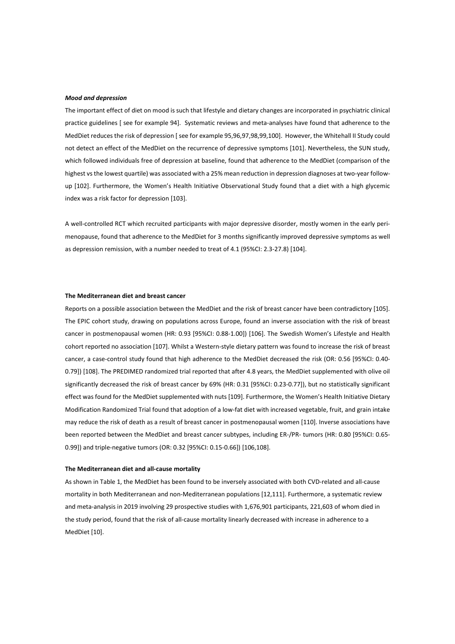#### *Mood and depression*

The important effect of diet on mood is such that lifestyle and dietary changes are incorporated in psychiatric clinical practice guidelines [ see for example 94]. Systematic reviews and meta-analyses have found that adherence to the MedDiet reduces the risk of depression [ see for example 95,96,97,98,99,100]. However, the Whitehall II Study could not detect an effect of the MedDiet on the recurrence of depressive symptoms [101]. Nevertheless, the SUN study, which followed individuals free of depression at baseline, found that adherence to the MedDiet (comparison of the highest vs the lowest quartile) was associated with a 25% mean reduction in depression diagnoses at two-year followup [102]. Furthermore, the Women's Health Initiative Observational Study found that a diet with a high glycemic index was a risk factor for depression [103].

A well-controlled RCT which recruited participants with major depressive disorder, mostly women in the early perimenopause, found that adherence to the MedDiet for 3 months significantly improved depressive symptoms as well as depression remission, with a number needed to treat of 4.1 (95%CI: 2.3-27.8) [104].

## **The Mediterranean diet and breast cancer**

Reports on a possible association between the MedDiet and the risk of breast cancer have been contradictory [105]. The EPIC cohort study, drawing on populations across Europe, found an inverse association with the risk of breast cancer in postmenopausal women (HR: 0.93 [95%CI: 0.88-1.00]) [106]. The Swedish Women's Lifestyle and Health cohort reported no association [107]. Whilst a Western-style dietary pattern was found to increase the risk of breast cancer, a case-control study found that high adherence to the MedDiet decreased the risk (OR: 0.56 [95%CI: 0.40- 0.79]) [108]. The PREDIMED randomized trial reported that after 4.8 years, the MedDiet supplemented with olive oil significantly decreased the risk of breast cancer by 69% (HR: 0.31 [95%CI: 0.23-0.77]), but no statistically significant effect was found for the MedDiet supplemented with nuts [109]. Furthermore, the Women's Health Initiative Dietary Modification Randomized Trial found that adoption of a low-fat diet with increased vegetable, fruit, and grain intake may reduce the risk of death as a result of breast cancer in postmenopausal women [110]. Inverse associations have been reported between the MedDiet and breast cancer subtypes, including ER-/PR- tumors (HR: 0.80 [95%CI: 0.65- 0.99]) and triple-negative tumors (OR: 0.32 [95%CI: 0.15-0.66]) [106,108].

#### **The Mediterranean diet and all-cause mortality**

As shown in Table 1, the MedDiet has been found to be inversely associated with both CVD-related and all-cause mortality in both Mediterranean and non-Mediterranean populations [12,111]. Furthermore, a systematic review and meta-analysis in 2019 involving 29 prospective studies with 1,676,901 participants, 221,603 of whom died in the study period, found that the risk of all-cause mortality linearly decreased with increase in adherence to a MedDiet [10].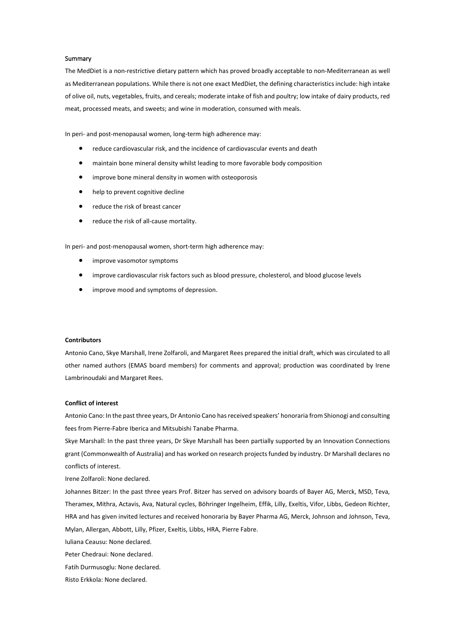## **Summary**

The MedDiet is a non-restrictive dietary pattern which has proved broadly acceptable to non-Mediterranean as well as Mediterranean populations. While there is not one exact MedDiet, the defining characteristicsinclude: high intake of olive oil, nuts, vegetables, fruits, and cereals; moderate intake of fish and poultry; low intake of dairy products, red meat, processed meats, and sweets; and wine in moderation, consumed with meals.

In peri- and post-menopausal women, long-term high adherence may:

- reduce cardiovascular risk, and the incidence of cardiovascular events and death
- maintain bone mineral density whilst leading to more favorable body composition
- improve bone mineral density in women with osteoporosis
- help to prevent cognitive decline
- reduce the risk of breast cancer
- reduce the risk of all-cause mortality.

In peri- and post-menopausal women, short-term high adherence may:

- improve vasomotor symptoms
- improve cardiovascular risk factors such as blood pressure, cholesterol, and blood glucose levels
- improve mood and symptoms of depression.

#### **Contributors**

Antonio Cano, Skye Marshall, Irene Zolfaroli, and Margaret Rees prepared the initial draft, which was circulated to all other named authors (EMAS board members) for comments and approval; production was coordinated by Irene Lambrinoudaki and Margaret Rees.

## **Conflict of interest**

Antonio Cano: In the past three years, Dr Antonio Cano has received speakers' honoraria from Shionogi and consulting fees from Pierre-Fabre Iberica and Mitsubishi Tanabe Pharma.

Skye Marshall: In the past three years, Dr Skye Marshall has been partially supported by an Innovation Connections grant (Commonwealth of Australia) and has worked on research projects funded by industry. Dr Marshall declares no conflicts of interest.

Irene Zolfaroli: None declared.

Johannes Bitzer: In the past three years Prof. Bitzer has served on advisory boards of Bayer AG, Merck, MSD, Teva, Theramex, Mithra, Actavis, Ava, Natural cycles, Böhringer Ingelheim, Effik, Lilly, Exeltis, Vifor, Libbs, Gedeon Richter, HRA and has given invited lectures and received honoraria by Bayer Pharma AG, Merck, Johnson and Johnson, Teva, Mylan, Allergan, Abbott, Lilly, Pfizer, Exeltis, Libbs, HRA, Pierre Fabre.

Iuliana Ceausu: None declared.

Peter Chedraui: None declared.

- Fatih Durmusoglu: None declared.
- Risto Erkkola: None declared.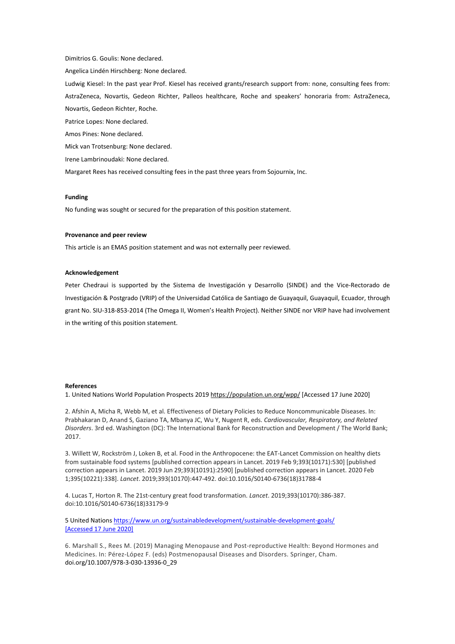Dimitrios G. Goulis: None declared.

Angelica Lindén Hirschberg: None declared.

Ludwig Kiesel: In the past year Prof. Kiesel has received grants/research support from: none, consulting fees from: AstraZeneca, Novartis, Gedeon Richter, Palleos healthcare, Roche and speakers' honoraria from: AstraZeneca, Novartis, Gedeon Richter, Roche.

Patrice Lopes: None declared.

Amos Pines: None declared.

Mick van Trotsenburg: None declared.

Irene Lambrinoudaki: None declared.

Margaret Rees has received consulting fees in the past three years from Sojournix, Inc.

## **Funding**

No funding was sought or secured for the preparation of this position statement.

#### **Provenance and peer review**

This article is an EMAS position statement and was not externally peer reviewed.

#### **Acknowledgement**

Peter Chedraui is supported by the Sistema de Investigación y Desarrollo (SINDE) and the Vice-Rectorado de Investigación & Postgrado (VRIP) of the Universidad Católica de Santiago de Guayaquil, Guayaquil, Ecuador, through grant No. SIU-318-853-2014 (The Omega II, Women's Health Project). Neither SINDE nor VRIP have had involvement in the writing of this position statement.

#### **References**

1. United Nations World Population Prospects 201[9 https://population.un.org/wpp/](https://population.un.org/wpp/) [Accessed 17 June 2020]

2. Afshin A, Micha R, Webb M, et al. Effectiveness of Dietary Policies to Reduce Noncommunicable Diseases. In: Prabhakaran D, Anand S, Gaziano TA, Mbanya JC, Wu Y, Nugent R, eds. *Cardiovascular, Respiratory, and Related Disorders*. 3rd ed. Washington (DC): The International Bank for Reconstruction and Development / The World Bank; 2017.

3. Willett W, Rockström J, Loken B, et al. Food in the Anthropocene: the EAT-Lancet Commission on healthy diets from sustainable food systems [published correction appears in Lancet. 2019 Feb 9;393(10171):530] [published correction appears in Lancet. 2019 Jun 29;393(10191):2590] [published correction appears in Lancet. 2020 Feb 1;395(10221):338]. *Lancet*. 2019;393(10170):447-492. doi:10.1016/S0140-6736(18)31788-4

4. Lucas T, Horton R. The 21st-century great food transformation. *Lancet*. 2019;393(10170):386-387. doi:10.1016/S0140-6736(18)33179-9

5 United Nation[s https://www.un.org/sustainabledevelopment/sustainable-development-goals/](https://www.un.org/sustainabledevelopment/sustainable-development-goals/) [Accessed 17 June 2020]

6. Marshall S., Rees M. (2019) Managing Menopause and Post-reproductive Health: Beyond Hormones and Medicines. In: Pérez-López F. (eds) Postmenopausal Diseases and Disorders. Springer, Cham. doi.org/10.1007/978-3-030-13936-0\_29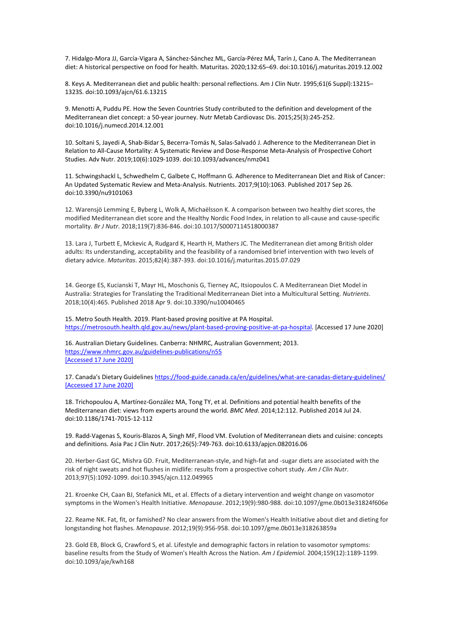7. Hidalgo-Mora JJ, García-Vigara A, Sánchez-Sánchez ML, García-Pérez MÁ, Tarín J, Cano A. The Mediterranean diet: A historical perspective on food for health. Maturitas. 2020;132:65–69. doi:10.1016/j.maturitas.2019.12.002

8. Keys A. Mediterranean diet and public health: personal reflections. Am J Clin Nutr. 1995;61(6 Suppl):1321S– 1323S. doi:10.1093/ajcn/61.6.1321S

9. Menotti A, Puddu PE. How the Seven Countries Study contributed to the definition and development of the Mediterranean diet concept: a 50-year journey. Nutr Metab Cardiovasc Dis. 2015;25(3):245-252. doi:10.1016/j.numecd.2014.12.001

10. Soltani S, Jayedi A, Shab-Bidar S, Becerra-Tomás N, Salas-Salvadó J. Adherence to the Mediterranean Diet in Relation to All-Cause Mortality: A Systematic Review and Dose-Response Meta-Analysis of Prospective Cohort Studies. Adv Nutr. 2019;10(6):1029-1039. doi:10.1093/advances/nmz041

11. Schwingshackl L, Schwedhelm C, Galbete C, Hoffmann G. Adherence to Mediterranean Diet and Risk of Cancer: An Updated Systematic Review and Meta-Analysis. Nutrients. 2017;9(10):1063. Published 2017 Sep 26. doi:10.3390/nu9101063

12. Warensjö Lemming E, Byberg L, Wolk A, Michaëlsson K. A comparison between two healthy diet scores, the modified Mediterranean diet score and the Healthy Nordic Food Index, in relation to all-cause and cause-specific mortality. *Br J Nutr*. 2018;119(7):836-846. doi:10.1017/S0007114518000387

13. Lara J, Turbett E, Mckevic A, Rudgard K, Hearth H, Mathers JC. The Mediterranean diet among British older adults: Its understanding, acceptability and the feasibility of a randomised brief intervention with two levels of dietary advice. *Maturitas*. 2015;82(4):387-393. doi:10.1016/j.maturitas.2015.07.029

14. George ES, Kucianski T, Mayr HL, Moschonis G, Tierney AC, Itsiopoulos C. A Mediterranean Diet Model in Australia: Strategies for Translating the Traditional Mediterranean Diet into a Multicultural Setting. *Nutrients*. 2018;10(4):465. Published 2018 Apr 9. doi:10.3390/nu10040465

15. Metro South Health. 2019. Plant-based proving positive at PA Hospital. [https://metrosouth.health.qld.gov.au/news/plant-based-proving-positive-at-pa-hospital.](https://metrosouth.health.qld.gov.au/news/plant-based-proving-positive-at-pa-hospital) [Accessed 17 June 2020]

16. Australian Dietary Guidelines. Canberra: NHMRC, Australian Government; 2013. <https://www.nhmrc.gov.au/guidelines-publications/n55> [Accessed 17 June 2020]

17. Canada's Dietary Guideline[s https://food-guide.canada.ca/en/guidelines/what-are-canadas-dietary-guidelines/](https://food-guide.canada.ca/en/guidelines/what-are-canadas-dietary-guidelines/) [Accessed 17 June 2020]

18. Trichopoulou A, Martínez-González MA, Tong TY, et al. Definitions and potential health benefits of the Mediterranean diet: views from experts around the world. *BMC Med*. 2014;12:112. Published 2014 Jul 24. doi:10.1186/1741-7015-12-112

19. Radd-Vagenas S, Kouris-Blazos A, Singh MF, Flood VM. Evolution of Mediterranean diets and cuisine: concepts and definitions. Asia Pac J Clin Nutr. 2017;26(5):749-763. doi:10.6133/apjcn.082016.06

20. Herber-Gast GC, Mishra GD. Fruit, Mediterranean-style, and high-fat and -sugar diets are associated with the risk of night sweats and hot flushes in midlife: results from a prospective cohort study. *Am J Clin Nutr*. 2013;97(5):1092-1099. doi:10.3945/ajcn.112.049965

21. Kroenke CH, Caan BJ, Stefanick ML, et al. Effects of a dietary intervention and weight change on vasomotor symptoms in the Women's Health Initiative. *Menopause*. 2012;19(9):980-988. doi:10.1097/gme.0b013e31824f606e

22. Reame NK. Fat, fit, or famished? No clear answers from the Women's Health Initiative about diet and dieting for longstanding hot flashes. *Menopause*. 2012;19(9):956-958. doi:10.1097/gme.0b013e318263859a

23. Gold EB, Block G, Crawford S, et al. Lifestyle and demographic factors in relation to vasomotor symptoms: baseline results from the Study of Women's Health Across the Nation. *Am J Epidemiol*. 2004;159(12):1189-1199. doi:10.1093/aje/kwh168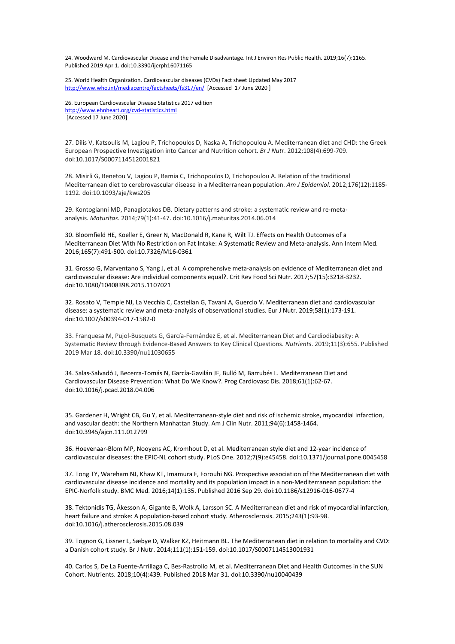24. Woodward M. Cardiovascular Disease and the Female Disadvantage. Int J Environ Res Public Health. 2019;16(7):1165. Published 2019 Apr 1. doi:10.3390/ijerph16071165

25. World Health Organization. Cardiovascular diseases (CVDs) Fact sheet Updated May 2017 <http://www.who.int/mediacentre/factsheets/fs317/en/>[Accessed 17 June 2020]

26. European Cardiovascular Disease Statistics 2017 edition <http://www.ehnheart.org/cvd-statistics.html> [Accessed 17 June 2020]

27. Dilis V, Katsoulis M, Lagiou P, Trichopoulos D, Naska A, Trichopoulou A. Mediterranean diet and CHD: the Greek European Prospective Investigation into Cancer and Nutrition cohort. *Br J Nutr*. 2012;108(4):699-709. doi:10.1017/S0007114512001821

28. Misirli G, Benetou V, Lagiou P, Bamia C, Trichopoulos D, Trichopoulou A. Relation of the traditional Mediterranean diet to cerebrovascular disease in a Mediterranean population. *Am J Epidemiol*. 2012;176(12):1185- 1192. doi:10.1093/aje/kws205

29. Kontogianni MD, Panagiotakos DB. Dietary patterns and stroke: a systematic review and re-metaanalysis. *Maturitas*. 2014;79(1):41-47. doi:10.1016/j.maturitas.2014.06.014

30. Bloomfield HE, Koeller E, Greer N, MacDonald R, Kane R, Wilt TJ. Effects on Health Outcomes of a Mediterranean Diet With No Restriction on Fat Intake: A Systematic Review and Meta-analysis. Ann Intern Med. 2016;165(7):491-500. doi:10.7326/M16-0361

31. Grosso G, Marventano S, Yang J, et al. A comprehensive meta-analysis on evidence of Mediterranean diet and cardiovascular disease: Are individual components equal?. Crit Rev Food Sci Nutr. 2017;57(15):3218-3232. doi:10.1080/10408398.2015.1107021

32. Rosato V, Temple NJ, La Vecchia C, Castellan G, Tavani A, Guercio V. Mediterranean diet and cardiovascular disease: a systematic review and meta-analysis of observational studies. Eur J Nutr. 2019;58(1):173-191. doi:10.1007/s00394-017-1582-0

33. Franquesa M, Pujol-Busquets G, García-Fernández E, et al. Mediterranean Diet and Cardiodiabesity: A Systematic Review through Evidence-Based Answers to Key Clinical Questions. *Nutrients*. 2019;11(3):655. Published 2019 Mar 18. doi:10.3390/nu11030655

34. Salas-Salvadó J, Becerra-Tomás N, García-Gavilán JF, Bulló M, Barrubés L. Mediterranean Diet and Cardiovascular Disease Prevention: What Do We Know?. Prog Cardiovasc Dis. 2018;61(1):62-67. doi:10.1016/j.pcad.2018.04.006

35. Gardener H, Wright CB, Gu Y, et al. Mediterranean-style diet and risk of ischemic stroke, myocardial infarction, and vascular death: the Northern Manhattan Study. Am J Clin Nutr. 2011;94(6):1458-1464. doi:10.3945/ajcn.111.012799

36. Hoevenaar-Blom MP, Nooyens AC, Kromhout D, et al. Mediterranean style diet and 12-year incidence of cardiovascular diseases: the EPIC-NL cohort study. PLoS One. 2012;7(9):e45458. doi:10.1371/journal.pone.0045458

37. Tong TY, Wareham NJ, Khaw KT, Imamura F, Forouhi NG. Prospective association of the Mediterranean diet with cardiovascular disease incidence and mortality and its population impact in a non-Mediterranean population: the EPIC-Norfolk study. BMC Med. 2016;14(1):135. Published 2016 Sep 29. doi:10.1186/s12916-016-0677-4

38. Tektonidis TG, Åkesson A, Gigante B, Wolk A, Larsson SC. A Mediterranean diet and risk of myocardial infarction, heart failure and stroke: A population-based cohort study. Atherosclerosis. 2015;243(1):93-98. doi:10.1016/j.atherosclerosis.2015.08.039

39. Tognon G, Lissner L, Sæbye D, Walker KZ, Heitmann BL. The Mediterranean diet in relation to mortality and CVD: a Danish cohort study. Br J Nutr. 2014;111(1):151-159. doi:10.1017/S0007114513001931

40. Carlos S, De La Fuente-Arrillaga C, Bes-Rastrollo M, et al. Mediterranean Diet and Health Outcomes in the SUN Cohort. Nutrients. 2018;10(4):439. Published 2018 Mar 31. doi:10.3390/nu10040439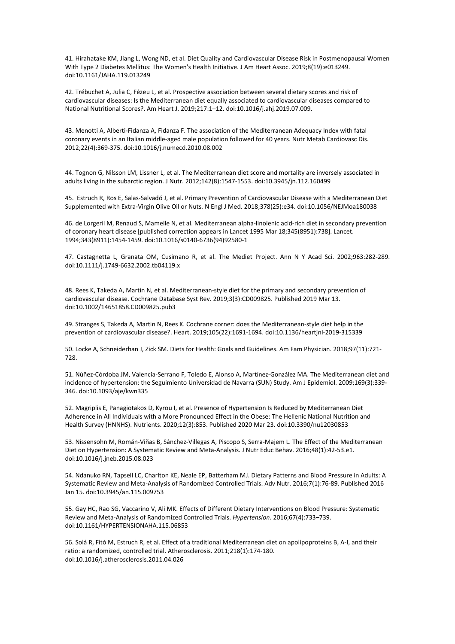41. Hirahatake KM, Jiang L, Wong ND, et al. Diet Quality and Cardiovascular Disease Risk in Postmenopausal Women With Type 2 Diabetes Mellitus: The Women's Health Initiative. J Am Heart Assoc. 2019;8(19):e013249. doi:10.1161/JAHA.119.013249

42. Trébuchet A, Julia C, Fézeu L, et al. Prospective association between several dietary scores and risk of cardiovascular diseases: Is the Mediterranean diet equally associated to cardiovascular diseases compared to National Nutritional Scores?. Am Heart J. 2019;217:1–12. doi:10.1016/j.ahj.2019.07.009.

43. Menotti A, Alberti-Fidanza A, Fidanza F. The association of the Mediterranean Adequacy Index with fatal coronary events in an Italian middle-aged male population followed for 40 years. Nutr Metab Cardiovasc Dis. 2012;22(4):369-375. doi:10.1016/j.numecd.2010.08.002

44. Tognon G, Nilsson LM, Lissner L, et al. The Mediterranean diet score and mortality are inversely associated in adults living in the subarctic region. J Nutr. 2012;142(8):1547-1553. doi:10.3945/jn.112.160499

45. Estruch R, Ros E, Salas-Salvadó J, et al. Primary Prevention of Cardiovascular Disease with a Mediterranean Diet Supplemented with Extra-Virgin Olive Oil or Nuts. N Engl J Med. 2018;378(25):e34. doi:10.1056/NEJMoa180038

46. de Lorgeril M, Renaud S, Mamelle N, et al. Mediterranean alpha-linolenic acid-rich diet in secondary prevention of coronary heart disease [published correction appears in Lancet 1995 Mar 18;345(8951):738]. Lancet. 1994;343(8911):1454-1459. doi:10.1016/s0140-6736(94)92580-1

47. Castagnetta L, Granata OM, Cusimano R, et al. The Mediet Project. Ann N Y Acad Sci. 2002;963:282-289. doi:10.1111/j.1749-6632.2002.tb04119.x

48. Rees K, Takeda A, Martin N, et al. Mediterranean-style diet for the primary and secondary prevention of cardiovascular disease. Cochrane Database Syst Rev. 2019;3(3):CD009825. Published 2019 Mar 13. doi:10.1002/14651858.CD009825.pub3

49. Stranges S, Takeda A, Martin N, Rees K. Cochrane corner: does the Mediterranean-style diet help in the prevention of cardiovascular disease?. Heart. 2019;105(22):1691-1694. doi:10.1136/heartjnl-2019-315339

50. Locke A, Schneiderhan J, Zick SM. Diets for Health: Goals and Guidelines. Am Fam Physician. 2018;97(11):721- 728.

51. Núñez-Córdoba JM, Valencia-Serrano F, Toledo E, Alonso A, Martínez-González MA. The Mediterranean diet and incidence of hypertension: the Seguimiento Universidad de Navarra (SUN) Study. Am J Epidemiol. 2009;169(3):339- 346. doi:10.1093/aje/kwn335

52. Magriplis E, Panagiotakos D, Kyrou I, et al. Presence of Hypertension Is Reduced by Mediterranean Diet Adherence in All Individuals with a More Pronounced Effect in the Obese: The Hellenic National Nutrition and Health Survey (HNNHS). Nutrients. 2020;12(3):853. Published 2020 Mar 23. doi:10.3390/nu12030853

53. Nissensohn M, Román-Viñas B, Sánchez-Villegas A, Piscopo S, Serra-Majem L. The Effect of the Mediterranean Diet on Hypertension: A Systematic Review and Meta-Analysis. J Nutr Educ Behav. 2016;48(1):42-53.e1. doi:10.1016/j.jneb.2015.08.023

54. Ndanuko RN, Tapsell LC, Charlton KE, Neale EP, Batterham MJ. Dietary Patterns and Blood Pressure in Adults: A Systematic Review and Meta-Analysis of Randomized Controlled Trials. Adv Nutr. 2016;7(1):76-89. Published 2016 Jan 15. doi:10.3945/an.115.009753

55. Gay HC, Rao SG, Vaccarino V, Ali MK. Effects of Different Dietary Interventions on Blood Pressure: Systematic Review and Meta-Analysis of Randomized Controlled Trials. *Hypertension*. 2016;67(4):733–739. doi:10.1161/HYPERTENSIONAHA.115.06853

56. Solá R, Fitó M, Estruch R, et al. Effect of a traditional Mediterranean diet on apolipoproteins B, A-I, and their ratio: a randomized, controlled trial. Atherosclerosis. 2011;218(1):174-180. doi:10.1016/j.atherosclerosis.2011.04.026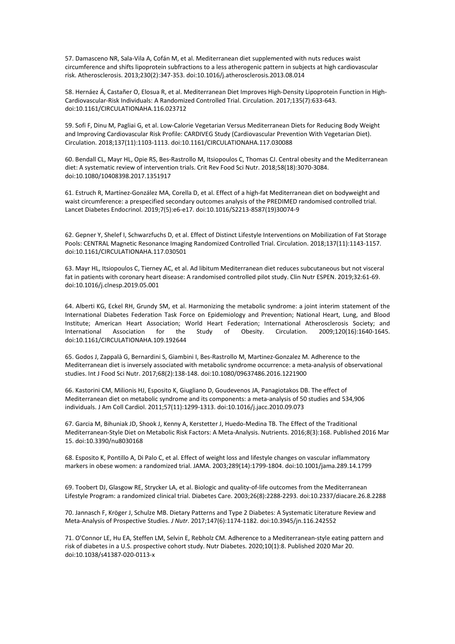57. Damasceno NR, Sala-Vila A, Cofán M, et al. Mediterranean diet supplemented with nuts reduces waist circumference and shifts lipoprotein subfractions to a less atherogenic pattern in subjects at high cardiovascular risk. Atherosclerosis. 2013;230(2):347-353. doi:10.1016/j.atherosclerosis.2013.08.014

58. Hernáez Á, Castañer O, Elosua R, et al. Mediterranean Diet Improves High-Density Lipoprotein Function in High-Cardiovascular-Risk Individuals: A Randomized Controlled Trial. Circulation. 2017;135(7):633-643. doi:10.1161/CIRCULATIONAHA.116.023712

59. Sofi F, Dinu M, Pagliai G, et al. Low-Calorie Vegetarian Versus Mediterranean Diets for Reducing Body Weight and Improving Cardiovascular Risk Profile: CARDIVEG Study (Cardiovascular Prevention With Vegetarian Diet). Circulation. 2018;137(11):1103-1113. doi:10.1161/CIRCULATIONAHA.117.030088

60. Bendall CL, Mayr HL, Opie RS, Bes-Rastrollo M, Itsiopoulos C, Thomas CJ. Central obesity and the Mediterranean diet: A systematic review of intervention trials. Crit Rev Food Sci Nutr. 2018;58(18):3070-3084. doi:10.1080/10408398.2017.1351917

61. Estruch R, Martínez-González MA, Corella D, et al. Effect of a high-fat Mediterranean diet on bodyweight and waist circumference: a prespecified secondary outcomes analysis of the PREDIMED randomised controlled trial. Lancet Diabetes Endocrinol. 2019;7(5):e6-e17. doi:10.1016/S2213-8587(19)30074-9

62. Gepner Y, Shelef I, Schwarzfuchs D, et al. Effect of Distinct Lifestyle Interventions on Mobilization of Fat Storage Pools: CENTRAL Magnetic Resonance Imaging Randomized Controlled Trial. Circulation. 2018;137(11):1143-1157. doi:10.1161/CIRCULATIONAHA.117.030501

63. Mayr HL, Itsiopoulos C, Tierney AC, et al. Ad libitum Mediterranean diet reduces subcutaneous but not visceral fat in patients with coronary heart disease: A randomised controlled pilot study. Clin Nutr ESPEN. 2019;32:61-69. doi:10.1016/j.clnesp.2019.05.001

64. Alberti KG, Eckel RH, Grundy SM, et al. Harmonizing the metabolic syndrome: a joint interim statement of the International Diabetes Federation Task Force on Epidemiology and Prevention; National Heart, Lung, and Blood Institute; American Heart Association; World Heart Federation; International Atherosclerosis Society; and International Association for the Study of Obesity. Circulation. 2009;120(16):1640-1645. doi:10.1161/CIRCULATIONAHA.109.192644

65. Godos J, Zappalà G, Bernardini S, Giambini I, Bes-Rastrollo M, Martinez-Gonzalez M. Adherence to the Mediterranean diet is inversely associated with metabolic syndrome occurrence: a meta-analysis of observational studies. Int J Food Sci Nutr. 2017;68(2):138-148. doi:10.1080/09637486.2016.1221900

66. Kastorini CM, Milionis HJ, Esposito K, Giugliano D, Goudevenos JA, Panagiotakos DB. The effect of Mediterranean diet on metabolic syndrome and its components: a meta-analysis of 50 studies and 534,906 individuals. J Am Coll Cardiol. 2011;57(11):1299-1313. doi:10.1016/j.jacc.2010.09.073

67. Garcia M, Bihuniak JD, Shook J, Kenny A, Kerstetter J, Huedo-Medina TB. The Effect of the Traditional Mediterranean-Style Diet on Metabolic Risk Factors: A Meta-Analysis. Nutrients. 2016;8(3):168. Published 2016 Mar 15. doi:10.3390/nu8030168

68. Esposito K, Pontillo A, Di Palo C, et al. Effect of weight loss and lifestyle changes on vascular inflammatory markers in obese women: a randomized trial. JAMA. 2003;289(14):1799-1804. doi:10.1001/jama.289.14.1799

69. Toobert DJ, Glasgow RE, Strycker LA, et al. Biologic and quality-of-life outcomes from the Mediterranean Lifestyle Program: a randomized clinical trial. Diabetes Care. 2003;26(8):2288-2293. doi:10.2337/diacare.26.8.2288

70. Jannasch F, Kröger J, Schulze MB. Dietary Patterns and Type 2 Diabetes: A Systematic Literature Review and Meta-Analysis of Prospective Studies. *J Nutr*. 2017;147(6):1174-1182. doi:10.3945/jn.116.242552

71. O'Connor LE, Hu EA, Steffen LM, Selvin E, Rebholz CM. Adherence to a Mediterranean-style eating pattern and risk of diabetes in a U.S. prospective cohort study. Nutr Diabetes. 2020;10(1):8. Published 2020 Mar 20. doi:10.1038/s41387-020-0113-x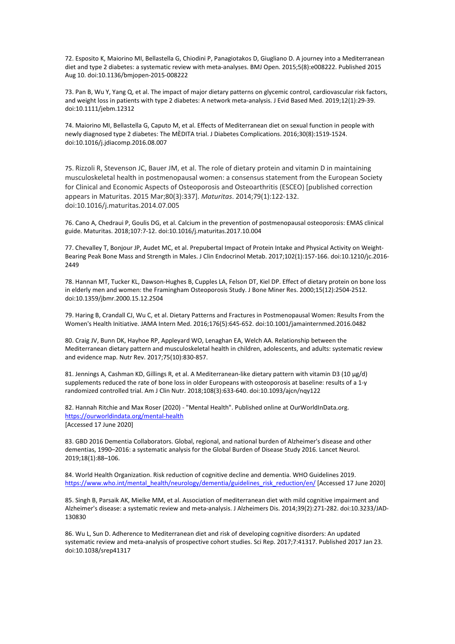72. Esposito K, Maiorino MI, Bellastella G, Chiodini P, Panagiotakos D, Giugliano D. A journey into a Mediterranean diet and type 2 diabetes: a systematic review with meta-analyses. BMJ Open. 2015;5(8):e008222. Published 2015 Aug 10. doi:10.1136/bmjopen-2015-008222

73. Pan B, Wu Y, Yang Q, et al. The impact of major dietary patterns on glycemic control, cardiovascular risk factors, and weight loss in patients with type 2 diabetes: A network meta-analysis. J Evid Based Med. 2019;12(1):29-39. doi:10.1111/jebm.12312

74. Maiorino MI, Bellastella G, Caputo M, et al. Effects of Mediterranean diet on sexual function in people with newly diagnosed type 2 diabetes: The MÈDITA trial. J Diabetes Complications. 2016;30(8):1519-1524. doi:10.1016/j.jdiacomp.2016.08.007

75. Rizzoli R, Stevenson JC, Bauer JM, et al. The role of dietary protein and vitamin D in maintaining musculoskeletal health in postmenopausal women: a consensus statement from the European Society for Clinical and Economic Aspects of Osteoporosis and Osteoarthritis (ESCEO) [published correction appears in Maturitas. 2015 Mar;80(3):337]. *Maturitas*. 2014;79(1):122-132. doi:10.1016/j.maturitas.2014.07.005

76. Cano A, Chedraui P, Goulis DG, et al. Calcium in the prevention of postmenopausal osteoporosis: EMAS clinical guide. Maturitas. 2018;107:7-12. doi:10.1016/j.maturitas.2017.10.004

77. Chevalley T, Bonjour JP, Audet MC, et al. Prepubertal Impact of Protein Intake and Physical Activity on Weight-Bearing Peak Bone Mass and Strength in Males. J Clin Endocrinol Metab. 2017;102(1):157-166. doi:10.1210/jc.2016- 2449

78. Hannan MT, Tucker KL, Dawson-Hughes B, Cupples LA, Felson DT, Kiel DP. Effect of dietary protein on bone loss in elderly men and women: the Framingham Osteoporosis Study. J Bone Miner Res. 2000;15(12):2504-2512. doi:10.1359/jbmr.2000.15.12.2504

79. Haring B, Crandall CJ, Wu C, et al. Dietary Patterns and Fractures in Postmenopausal Women: Results From the Women's Health Initiative. JAMA Intern Med. 2016;176(5):645-652. doi:10.1001/jamainternmed.2016.0482

80. Craig JV, Bunn DK, Hayhoe RP, Appleyard WO, Lenaghan EA, Welch AA. Relationship between the Mediterranean dietary pattern and musculoskeletal health in children, adolescents, and adults: systematic review and evidence map. Nutr Rev. 2017;75(10):830-857.

81. Jennings A, Cashman KD, Gillings R, et al. A Mediterranean-like dietary pattern with vitamin D3 (10 µg/d) supplements reduced the rate of bone loss in older Europeans with osteoporosis at baseline: results of a 1-y randomized controlled trial. Am J Clin Nutr. 2018;108(3):633-640. doi:10.1093/ajcn/nqy122

82. Hannah Ritchie and Max Roser (2020) - "Mental Health". Published online at OurWorldInData.org. <https://ourworldindata.org/mental-health> [Accessed 17 June 2020]

83. GBD 2016 Dementia Collaborators. Global, regional, and national burden of Alzheimer's disease and other dementias, 1990–2016: a systematic analysis for the Global Burden of Disease Study 2016. Lancet Neurol. 2019;18(1):88–106.

84. World Health Organization. Risk reduction of cognitive decline and dementia. WHO Guidelines 2019. [https://www.who.int/mental\\_health/neurology/dementia/guidelines\\_risk\\_reduction/en/](https://www.who.int/mental_health/neurology/dementia/guidelines_risk_reduction/en/) [Accessed 17 June 2020]

85. Singh B, Parsaik AK, Mielke MM, et al. Association of mediterranean diet with mild cognitive impairment and Alzheimer's disease: a systematic review and meta-analysis. J Alzheimers Dis. 2014;39(2):271-282. doi:10.3233/JAD-130830

86. Wu L, Sun D. Adherence to Mediterranean diet and risk of developing cognitive disorders: An updated systematic review and meta-analysis of prospective cohort studies. Sci Rep. 2017;7:41317. Published 2017 Jan 23. doi:10.1038/srep41317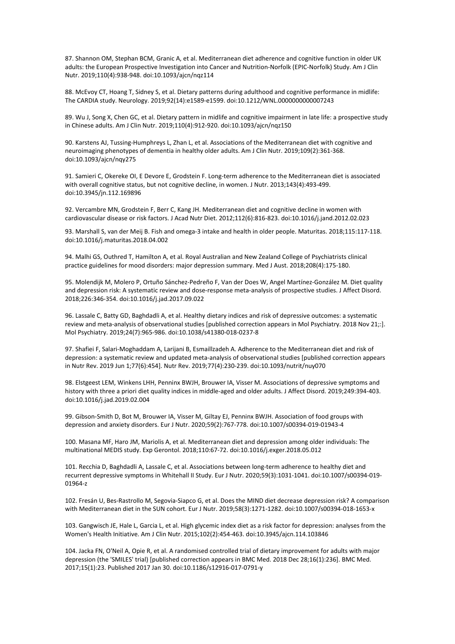87. Shannon OM, Stephan BCM, Granic A, et al. Mediterranean diet adherence and cognitive function in older UK adults: the European Prospective Investigation into Cancer and Nutrition-Norfolk (EPIC-Norfolk) Study. Am J Clin Nutr. 2019;110(4):938-948. doi:10.1093/ajcn/nqz114

88. McEvoy CT, Hoang T, Sidney S, et al. Dietary patterns during adulthood and cognitive performance in midlife: The CARDIA study. Neurology. 2019;92(14):e1589-e1599. doi:10.1212/WNL.0000000000007243

89. Wu J, Song X, Chen GC, et al. Dietary pattern in midlife and cognitive impairment in late life: a prospective study in Chinese adults. Am J Clin Nutr. 2019;110(4):912-920. doi:10.1093/ajcn/nqz150

90. Karstens AJ, Tussing-Humphreys L, Zhan L, et al. Associations of the Mediterranean diet with cognitive and neuroimaging phenotypes of dementia in healthy older adults. Am J Clin Nutr. 2019;109(2):361-368. doi:10.1093/ajcn/nqy275

91. Samieri C, Okereke OI, E Devore E, Grodstein F. Long-term adherence to the Mediterranean diet is associated with overall cognitive status, but not cognitive decline, in women. J Nutr. 2013;143(4):493-499. doi:10.3945/jn.112.169896

92. Vercambre MN, Grodstein F, Berr C, Kang JH. Mediterranean diet and cognitive decline in women with cardiovascular disease or risk factors. J Acad Nutr Diet. 2012;112(6):816-823. doi:10.1016/j.jand.2012.02.023

93. Marshall S, van der Meij B. Fish and omega-3 intake and health in older people. Maturitas. 2018;115:117-118. doi:10.1016/j.maturitas.2018.04.002

94. Malhi GS, Outhred T, Hamilton A, et al. Royal Australian and New Zealand College of Psychiatrists clinical practice guidelines for mood disorders: major depression summary. Med J Aust. 2018;208(4):175-180.

95. Molendijk M, Molero P, Ortuño Sánchez-Pedreño F, Van der Does W, Angel Martínez-González M. Diet quality and depression risk: A systematic review and dose-response meta-analysis of prospective studies. J Affect Disord. 2018;226:346-354. doi:10.1016/j.jad.2017.09.022

96. Lassale C, Batty GD, Baghdadli A, et al. Healthy dietary indices and risk of depressive outcomes: a systematic review and meta-analysis of observational studies [published correction appears in Mol Psychiatry. 2018 Nov 21;:]. Mol Psychiatry. 2019;24(7):965-986. doi:10.1038/s41380-018-0237-8

97. Shafiei F, Salari-Moghaddam A, Larijani B, Esmaillzadeh A. Adherence to the Mediterranean diet and risk of depression: a systematic review and updated meta-analysis of observational studies [published correction appears in Nutr Rev. 2019 Jun 1;77(6):454]. Nutr Rev. 2019;77(4):230-239. doi:10.1093/nutrit/nuy070

98. Elstgeest LEM, Winkens LHH, Penninx BWJH, Brouwer IA, Visser M. Associations of depressive symptoms and history with three a priori diet quality indices in middle-aged and older adults. J Affect Disord. 2019;249:394-403. doi:10.1016/j.jad.2019.02.004

99. Gibson-Smith D, Bot M, Brouwer IA, Visser M, Giltay EJ, Penninx BWJH. Association of food groups with depression and anxiety disorders. Eur J Nutr. 2020;59(2):767-778. doi:10.1007/s00394-019-01943-4

100. Masana MF, Haro JM, Mariolis A, et al. Mediterranean diet and depression among older individuals: The multinational MEDIS study. Exp Gerontol. 2018;110:67-72. doi:10.1016/j.exger.2018.05.012

101. Recchia D, Baghdadli A, Lassale C, et al. Associations between long-term adherence to healthy diet and recurrent depressive symptoms in Whitehall II Study. Eur J Nutr. 2020;59(3):1031-1041. doi:10.1007/s00394-019- 01964-z

102. Fresán U, Bes-Rastrollo M, Segovia-Siapco G, et al. Does the MIND diet decrease depression risk? A comparison with Mediterranean diet in the SUN cohort. Eur J Nutr. 2019;58(3):1271-1282. doi:10.1007/s00394-018-1653-x

103. Gangwisch JE, Hale L, Garcia L, et al. High glycemic index diet as a risk factor for depression: analyses from the Women's Health Initiative. Am J Clin Nutr. 2015;102(2):454-463. doi:10.3945/ajcn.114.103846

104. Jacka FN, O'Neil A, Opie R, et al. A randomised controlled trial of dietary improvement for adults with major depression (the 'SMILES' trial) [published correction appears in BMC Med. 2018 Dec 28;16(1):236]. BMC Med. 2017;15(1):23. Published 2017 Jan 30. doi:10.1186/s12916-017-0791-y